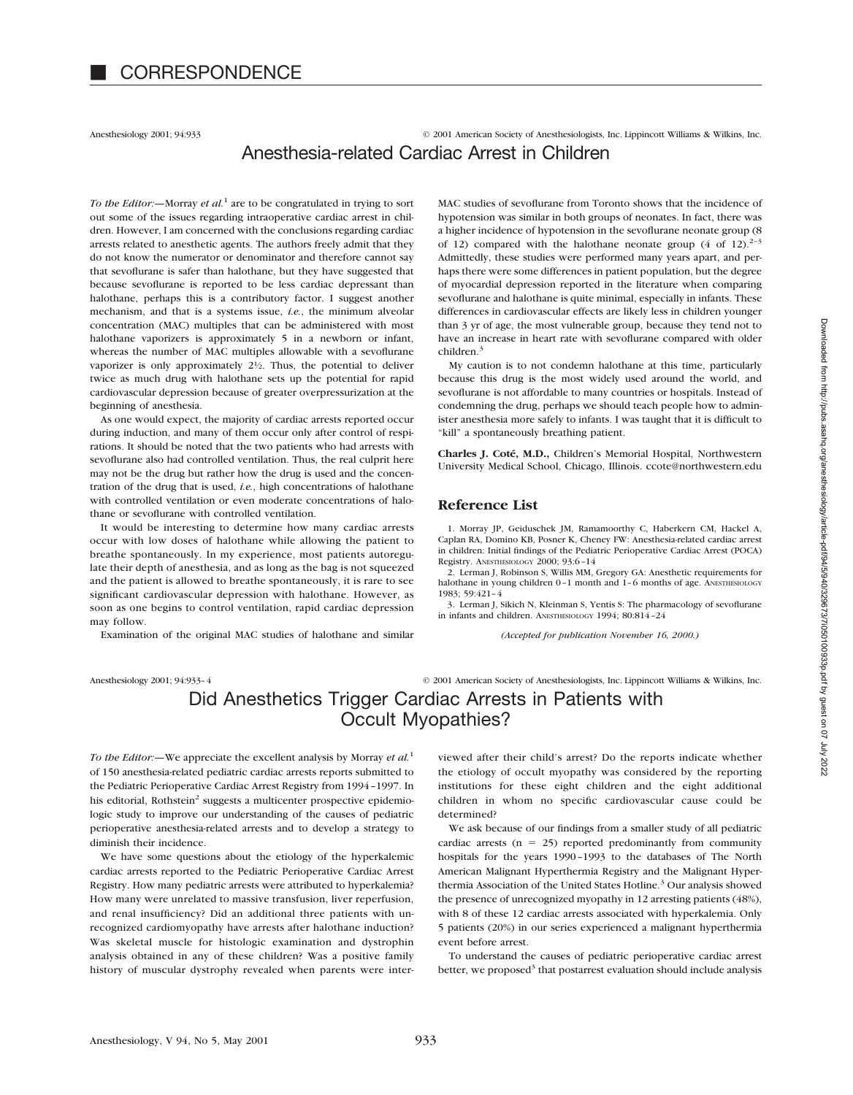Anesthesiology 2001; 94:933 © 2001 American Society of Anesthesiologists, Inc. Lippincott Williams & Wilkins, Inc. Anesthesia-related Cardiac Arrest in Children

*To the Editor:—*Morray *et al.*<sup>1</sup> are to be congratulated in trying to sort out some of the issues regarding intraoperative cardiac arrest in children. However, I am concerned with the conclusions regarding cardiac arrests related to anesthetic agents. The authors freely admit that they do not know the numerator or denominator and therefore cannot say that sevoflurane is safer than halothane, but they have suggested that because sevoflurane is reported to be less cardiac depressant than halothane, perhaps this is a contributory factor. I suggest another mechanism, and that is a systems issue, *i.e.*, the minimum alveolar concentration (MAC) multiples that can be administered with most halothane vaporizers is approximately 5 in a newborn or infant, whereas the number of MAC multiples allowable with a sevoflurane vaporizer is only approximately  $2\frac{1}{2}$ . Thus, the potential to deliver twice as much drug with halothane sets up the potential for rapid cardiovascular depression because of greater overpressurization at the beginning of anesthesia.

As one would expect, the majority of cardiac arrests reported occur during induction, and many of them occur only after control of respirations. It should be noted that the two patients who had arrests with sevoflurane also had controlled ventilation. Thus, the real culprit here may not be the drug but rather how the drug is used and the concentration of the drug that is used, *i.e.*, high concentrations of halothane with controlled ventilation or even moderate concentrations of halothane or sevoflurane with controlled ventilation.

It would be interesting to determine how many cardiac arrests occur with low doses of halothane while allowing the patient to breathe spontaneously. In my experience, most patients autoregulate their depth of anesthesia, and as long as the bag is not squeezed and the patient is allowed to breathe spontaneously, it is rare to see significant cardiovascular depression with halothane. However, as soon as one begins to control ventilation, rapid cardiac depression may follow.

Examination of the original MAC studies of halothane and similar

MAC studies of sevoflurane from Toronto shows that the incidence of hypotension was similar in both groups of neonates. In fact, there was a higher incidence of hypotension in the sevoflurane neonate group (8 of 12) compared with the halothane neonate group  $(4 \text{ of } 12)^{2-3}$ Admittedly, these studies were performed many years apart, and perhaps there were some differences in patient population, but the degree of myocardial depression reported in the literature when comparing sevoflurane and halothane is quite minimal, especially in infants. These differences in cardiovascular effects are likely less in children younger than 3 yr of age, the most vulnerable group, because they tend not to have an increase in heart rate with sevoflurane compared with older children.<sup>3</sup>

My caution is to not condemn halothane at this time, particularly because this drug is the most widely used around the world, and sevoflurane is not affordable to many countries or hospitals. Instead of condemning the drug, perhaps we should teach people how to administer anesthesia more safely to infants. I was taught that it is difficult to "kill" a spontaneously breathing patient.

**Charles J. Coté, M.D.,** Children's Memorial Hospital, Northwestern University Medical School, Chicago, Illinois. ccote@northwestern.edu

### **Reference List**

1. Morray JP, Geiduschek JM, Ramamoorthy C, Haberkern CM, Hackel A, Caplan RA, Domino KB, Posner K, Cheney FW: Anesthesia-related cardiac arrest in children: Initial findings of the Pediatric Perioperative Cardiac Arrest (POCA) Registry. ANESTHESIOLOGY 2000; 93:6–14

2. Lerman J, Robinson S, Willis MM, Gregory GA: Anesthetic requirements for halothane in young children 0-1 month and 1-6 months of age. ANESTHESIOLOGY 1983; 59:421–4

3. Lerman J, Sikich N, Kleinman S, Yentis S: The pharmacology of sevoflurane in infants and children. ANESTHESIOLOGY 1994; 80:814–24

*(Accepted for publication November 16, 2000.)*

Anesthesiology 2001; 94:933–4 © 2001 American Society of Anesthesiologists, Inc. Lippincott Williams & Wilkins, Inc.

# Did Anesthetics Trigger Cardiac Arrests in Patients with Occult Myopathies?

*To the Editor:—*We appreciate the excellent analysis by Morray *et al.*<sup>1</sup> of 150 anesthesia-related pediatric cardiac arrests reports submitted to the Pediatric Perioperative Cardiac Arrest Registry from 1994–1997. In his editorial, Rothstein<sup>2</sup> suggests a multicenter prospective epidemiologic study to improve our understanding of the causes of pediatric perioperative anesthesia-related arrests and to develop a strategy to diminish their incidence.

We have some questions about the etiology of the hyperkalemic cardiac arrests reported to the Pediatric Perioperative Cardiac Arrest Registry. How many pediatric arrests were attributed to hyperkalemia? How many were unrelated to massive transfusion, liver reperfusion, and renal insufficiency? Did an additional three patients with unrecognized cardiomyopathy have arrests after halothane induction? Was skeletal muscle for histologic examination and dystrophin analysis obtained in any of these children? Was a positive family history of muscular dystrophy revealed when parents were interviewed after their child's arrest? Do the reports indicate whether the etiology of occult myopathy was considered by the reporting institutions for these eight children and the eight additional children in whom no specific cardiovascular cause could be determined?

We ask because of our findings from a smaller study of all pediatric cardiac arrests  $(n = 25)$  reported predominantly from community hospitals for the years 1990–1993 to the databases of The North American Malignant Hyperthermia Registry and the Malignant Hyperthermia Association of the United States Hotline.<sup>3</sup> Our analysis showed the presence of unrecognized myopathy in 12 arresting patients (48%), with 8 of these 12 cardiac arrests associated with hyperkalemia. Only 5 patients (20%) in our series experienced a malignant hyperthermia event before arrest.

To understand the causes of pediatric perioperative cardiac arrest better, we proposed<sup>3</sup> that postarrest evaluation should include analysis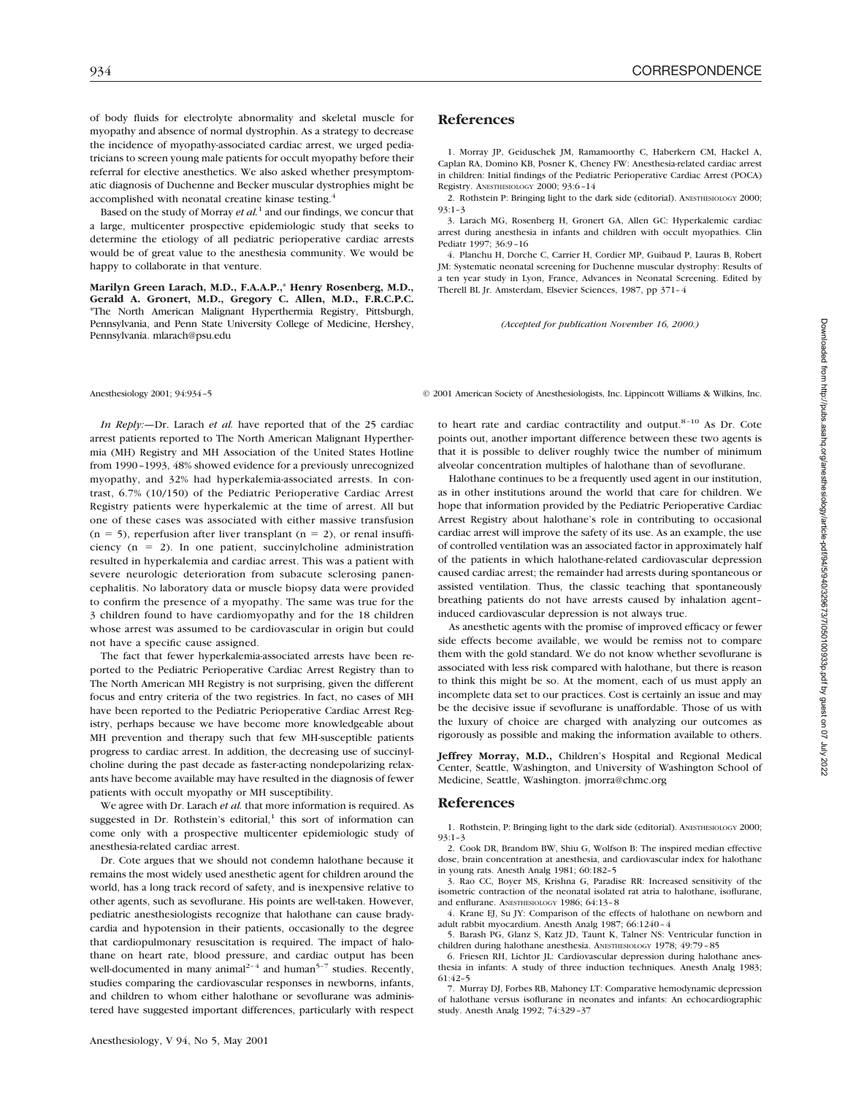of body fluids for electrolyte abnormality and skeletal muscle for myopathy and absence of normal dystrophin. As a strategy to decrease the incidence of myopathy-associated cardiac arrest, we urged pediatricians to screen young male patients for occult myopathy before their referral for elective anesthetics. We also asked whether presymptomatic diagnosis of Duchenne and Becker muscular dystrophies might be accomplished with neonatal creatine kinase testing.4

Based on the study of Morray *et al.*<sup>1</sup> and our findings, we concur that a large, multicenter prospective epidemiologic study that seeks to determine the etiology of all pediatric perioperative cardiac arrests would be of great value to the anesthesia community. We would be happy to collaborate in that venture.

**Marilyn Green Larach, M.D., F.A.A.P.,**\* **Henry Rosenberg, M.D., Gerald A. Gronert, M.D., Gregory C. Allen, M.D., F.R.C.P.C.** \*The North American Malignant Hyperthermia Registry, Pittsburgh, Pennsylvania, and Penn State University College of Medicine, Hershey, Pennsylvania. mlarach@psu.edu

*In Reply:—*Dr. Larach *et al.* have reported that of the 25 cardiac arrest patients reported to The North American Malignant Hyperthermia (MH) Registry and MH Association of the United States Hotline from 1990–1993, 48% showed evidence for a previously unrecognized myopathy, and 32% had hyperkalemia-associated arrests. In contrast, 6.7% (10/150) of the Pediatric Perioperative Cardiac Arrest Registry patients were hyperkalemic at the time of arrest. All but one of these cases was associated with either massive transfusion  $(n = 5)$ , reperfusion after liver transplant  $(n = 2)$ , or renal insufficiency ( $n = 2$ ). In one patient, succinylcholine administration resulted in hyperkalemia and cardiac arrest. This was a patient with severe neurologic deterioration from subacute sclerosing panencephalitis. No laboratory data or muscle biopsy data were provided to confirm the presence of a myopathy. The same was true for the 3 children found to have cardiomyopathy and for the 18 children whose arrest was assumed to be cardiovascular in origin but could not have a specific cause assigned.

The fact that fewer hyperkalemia-associated arrests have been reported to the Pediatric Perioperative Cardiac Arrest Registry than to The North American MH Registry is not surprising, given the different focus and entry criteria of the two registries. In fact, no cases of MH have been reported to the Pediatric Perioperative Cardiac Arrest Registry, perhaps because we have become more knowledgeable about MH prevention and therapy such that few MH-susceptible patients progress to cardiac arrest. In addition, the decreasing use of succinylcholine during the past decade as faster-acting nondepolarizing relaxants have become available may have resulted in the diagnosis of fewer patients with occult myopathy or MH susceptibility.

We agree with Dr. Larach *et al.* that more information is required. As suggested in Dr. Rothstein's editorial, $1$  this sort of information can come only with a prospective multicenter epidemiologic study of anesthesia-related cardiac arrest.

Dr. Cote argues that we should not condemn halothane because it remains the most widely used anesthetic agent for children around the world, has a long track record of safety, and is inexpensive relative to other agents, such as sevoflurane. His points are well-taken. However, pediatric anesthesiologists recognize that halothane can cause bradycardia and hypotension in their patients, occasionally to the degree that cardiopulmonary resuscitation is required. The impact of halothane on heart rate, blood pressure, and cardiac output has been well-documented in many animal<sup>2-4</sup> and human<sup>5-7</sup> studies. Recently, studies comparing the cardiovascular responses in newborns, infants, and children to whom either halothane or sevoflurane was administered have suggested important differences, particularly with respect

### **References**

1. Morray JP, Geiduschek JM, Ramamoorthy C, Haberkern CM, Hackel A, Caplan RA, Domino KB, Posner K, Cheney FW: Anesthesia-related cardiac arrest in children: Initial findings of the Pediatric Perioperative Cardiac Arrest (POCA) Registry. ANESTHESIOLOGY 2000; 93:6–14

2. Rothstein P: Bringing light to the dark side (editorial). ANESTHESIOLOGY 2000; 93:1–3

3. Larach MG, Rosenberg H, Gronert GA, Allen GC: Hyperkalemic cardiac arrest during anesthesia in infants and children with occult myopathies. Clin Pediatr 1997; 36:9–16

4. Planchu H, Dorche C, Carrier H, Cordier MP, Guibaud P, Lauras B, Robert JM: Systematic neonatal screening for Duchenne muscular dystrophy: Results of a ten year study in Lyon, France, Advances in Neonatal Screening. Edited by Therell BL Jr. Amsterdam, Elsevier Sciences, 1987, pp 371–4

*(Accepted for publication November 16, 2000.)*

Anesthesiology 2001; 94:934–5 © 2001 American Society of Anesthesiologists, Inc. Lippincott Williams & Wilkins, Inc.

to heart rate and cardiac contractility and output. $8-10$  As Dr. Cote points out, another important difference between these two agents is that it is possible to deliver roughly twice the number of minimum alveolar concentration multiples of halothane than of sevoflurane.

Halothane continues to be a frequently used agent in our institution, as in other institutions around the world that care for children. We hope that information provided by the Pediatric Perioperative Cardiac Arrest Registry about halothane's role in contributing to occasional cardiac arrest will improve the safety of its use. As an example, the use of controlled ventilation was an associated factor in approximately half of the patients in which halothane-related cardiovascular depression caused cardiac arrest; the remainder had arrests during spontaneous or assisted ventilation. Thus, the classic teaching that spontaneously breathing patients do not have arrests caused by inhalation agent– induced cardiovascular depression is not always true.

As anesthetic agents with the promise of improved efficacy or fewer side effects become available, we would be remiss not to compare them with the gold standard. We do not know whether sevoflurane is associated with less risk compared with halothane, but there is reason to think this might be so. At the moment, each of us must apply an incomplete data set to our practices. Cost is certainly an issue and may be the decisive issue if sevoflurane is unaffordable. Those of us with the luxury of choice are charged with analyzing our outcomes as rigorously as possible and making the information available to others.

**Jeffrey Morray, M.D.,** Children's Hospital and Regional Medical Center, Seattle, Washington, and University of Washington School of Medicine, Seattle, Washington. jmorra@chmc.org

#### **References**

1. Rothstein, P: Bringing light to the dark side (editorial). ANESTHESIOLOGY 2000; 93:1–3

2. Cook DR, Brandom BW, Shiu G, Wolfson B: The inspired median effective dose, brain concentration at anesthesia, and cardiovascular index for halothane in young rats. Anesth Analg 1981; 60:182–5

3. Rao CC, Boyer MS, Krishna G, Paradise RR: Increased sensitivity of the isometric contraction of the neonatal isolated rat atria to halothane, isoflurane, and enflurane. ANESTHESIOLOGY 1986; 64:13–8

4. Krane EJ, Su JY: Comparison of the effects of halothane on newborn and adult rabbit myocardium. Anesth Analg 1987; 66:1240–4

5. Barash PG, Glanz S, Katz JD, Taunt K, Talner NS: Ventricular function in children during halothane anesthesia. ANESTHESIOLOGY 1978; 49:79–85

6. Friesen RH, Lichtor JL: Cardiovascular depression during halothane anesthesia in infants: A study of three induction techniques. Anesth Analg 1983; 61:42–5

7. Murray DJ, Forbes RB, Mahoney LT: Comparative hemodynamic depression of halothane versus isoflurane in neonates and infants: An echocardiographic study. Anesth Analg 1992; 74:329–37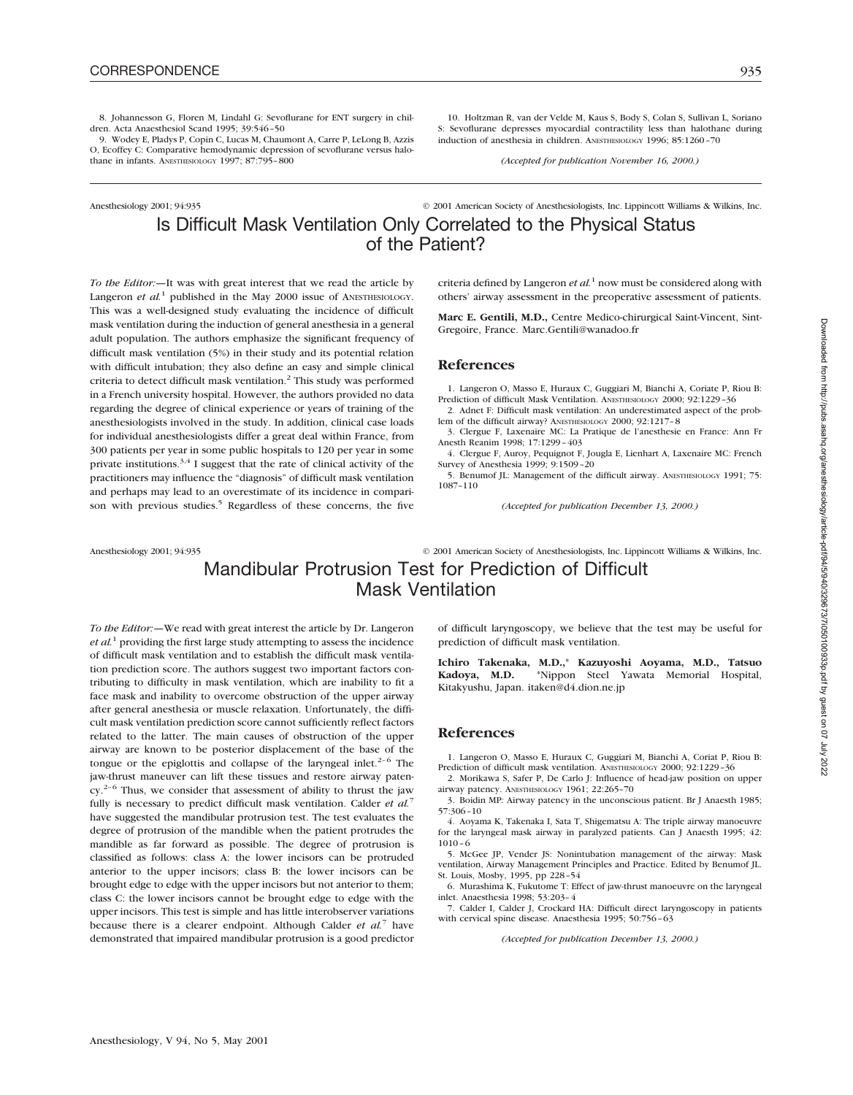8. Johannesson G, Floren M, Lindahl G: Sevoflurane for ENT surgery in children. Acta Anaesthesiol Scand 1995; 39:546–50

9. Wodey E, Pladys P, Copin C, Lucas M, Chaumont A, Carre P, LeLong B, Azzis O, Ecoffey C: Comparative hemodynamic depression of sevoflurane versus halothane in infants. ANESTHESIOLOGY 1997; 87:795-800

10. Holtzman R, van der Velde M, Kaus S, Body S, Colan S, Sullivan L, Soriano S: Sevoflurane depresses myocardial contractility less than halothane during induction of anesthesia in children. ANESTHESIOLOGY 1996; 85:1260–70

*(Accepted for publication November 16, 2000.)*

## Anesthesiology 2001; 94:935 © 2001 American Society of Anesthesiologists, Inc. Lippincott Williams & Wilkins, Inc. Is Difficult Mask Ventilation Only Correlated to the Physical Status of the Patient?

*To the Editor:—*It was with great interest that we read the article by Langeron *et al.*<sup>1</sup> published in the May 2000 issue of ANESTHESIOLOGY. This was a well-designed study evaluating the incidence of difficult mask ventilation during the induction of general anesthesia in a general adult population. The authors emphasize the significant frequency of difficult mask ventilation (5%) in their study and its potential relation with difficult intubation; they also define an easy and simple clinical criteria to detect difficult mask ventilation.<sup>2</sup> This study was performed in a French university hospital. However, the authors provided no data regarding the degree of clinical experience or years of training of the anesthesiologists involved in the study. In addition, clinical case loads for individual anesthesiologists differ a great deal within France, from 300 patients per year in some public hospitals to 120 per year in some private institutions.<sup>3,4</sup> I suggest that the rate of clinical activity of the practitioners may influence the "diagnosis" of difficult mask ventilation and perhaps may lead to an overestimate of its incidence in comparison with previous studies.<sup>5</sup> Regardless of these concerns, the five

criteria defined by Langeron *et al.*<sup>1</sup> now must be considered along with others' airway assessment in the preoperative assessment of patients.

**Marc E. Gentili, M.D.,** Centre Medico-chirurgical Saint-Vincent, Sint-Gregoire, France. Marc.Gentili@wanadoo.fr

#### **References**

1. Langeron O, Masso E, Huraux C, Guggiari M, Bianchi A, Coriate P, Riou B: Prediction of difficult Mask Ventilation. ANESTHESIOLOGY 2000; 92:1229–36

2. Adnet F: Difficult mask ventilation: An underestimated aspect of the problem of the difficult airway? ANESTHESIOLOGY 2000; 92:1217–8

3. Clergue F, Laxenaire MC: La Pratique de l'anesthesie en France: Ann Fr Anesth Reanim 1998; 17:1299–403

4. Clergue F, Auroy, Pequignot F, Jougla E, Lienhart A, Laxenaire MC: French Survey of Anesthesia 1999; 9:1509–20

5. Benumof JL: Management of the difficult airway. ANESTHESIOLOGY 1991; 75: 1087–110

*(Accepted for publication December 13, 2000.)*

Anesthesiology 2001; 94:935 © 2001 American Society of Anesthesiologists, Inc. Lippincott Williams & Wilkins, Inc.

# Mandibular Protrusion Test for Prediction of Difficult Mask Ventilation

*To the Editor:—*We read with great interest the article by Dr. Langeron *et al.*<sup>1</sup> providing the first large study attempting to assess the incidence of difficult mask ventilation and to establish the difficult mask ventilation prediction score. The authors suggest two important factors contributing to difficulty in mask ventilation, which are inability to fit a face mask and inability to overcome obstruction of the upper airway after general anesthesia or muscle relaxation. Unfortunately, the difficult mask ventilation prediction score cannot sufficiently reflect factors related to the latter. The main causes of obstruction of the upper airway are known to be posterior displacement of the base of the tongue or the epiglottis and collapse of the laryngeal inlet.<sup>2–6</sup> The jaw-thrust maneuver can lift these tissues and restore airway paten $cy<sup>2-6</sup>$  Thus, we consider that assessment of ability to thrust the jaw fully is necessary to predict difficult mask ventilation. Calder *et al.*<sup>7</sup> have suggested the mandibular protrusion test. The test evaluates the degree of protrusion of the mandible when the patient protrudes the mandible as far forward as possible. The degree of protrusion is classified as follows: class A: the lower incisors can be protruded anterior to the upper incisors; class B: the lower incisors can be brought edge to edge with the upper incisors but not anterior to them; class C: the lower incisors cannot be brought edge to edge with the upper incisors. This test is simple and has little interobserver variations because there is a clearer endpoint. Although Calder *et al.*<sup>7</sup> have demonstrated that impaired mandibular protrusion is a good predictor

of difficult laryngoscopy, we believe that the test may be useful for prediction of difficult mask ventilation.

**Ichiro Takenaka, M.D.,**\* **Kazuyoshi Aoyama, M.D., Tatsuo Kadoya, M.D.** \*Nippon Steel Yawata Memorial Hospital, Kitakyushu, Japan. itaken@d4.dion.ne.jp

#### **References**

1. Langeron O, Masso E, Huraux C, Guggiari M, Bianchi A, Coriat P, Riou B: Prediction of difficult mask ventilation. ANESTHESIOLOGY 2000; 92:1229-36

2. Morikawa S, Safer P, De Carlo J: Influence of head-jaw position on upper airway patency. ANESTHESIOLOGY 1961; 22:265–70

3. Boidin MP: Airway patency in the unconscious patient. Br J Anaesth 1985; 57:306–10

4. Aoyama K, Takenaka I, Sata T, Shigematsu A: The triple airway manoeuvre for the laryngeal mask airway in paralyzed patients. Can J Anaesth 1995; 42: 1010–6

5. McGee JP, Vender JS: Nonintubation management of the airway: Mask ventilation, Airway Management Principles and Practice. Edited by Benumof JL. St. Louis, Mosby, 1995, pp 228–54

6. Murashima K, Fukutome T: Effect of jaw-thrust manoeuvre on the laryngeal inlet. Anaesthesia 1998; 53:203–4

7. Calder I, Calder J, Crockard HA: Difficult direct laryngoscopy in patients with cervical spine disease. Anaesthesia 1995; 50:756–63

*(Accepted for publication December 13, 2000.)*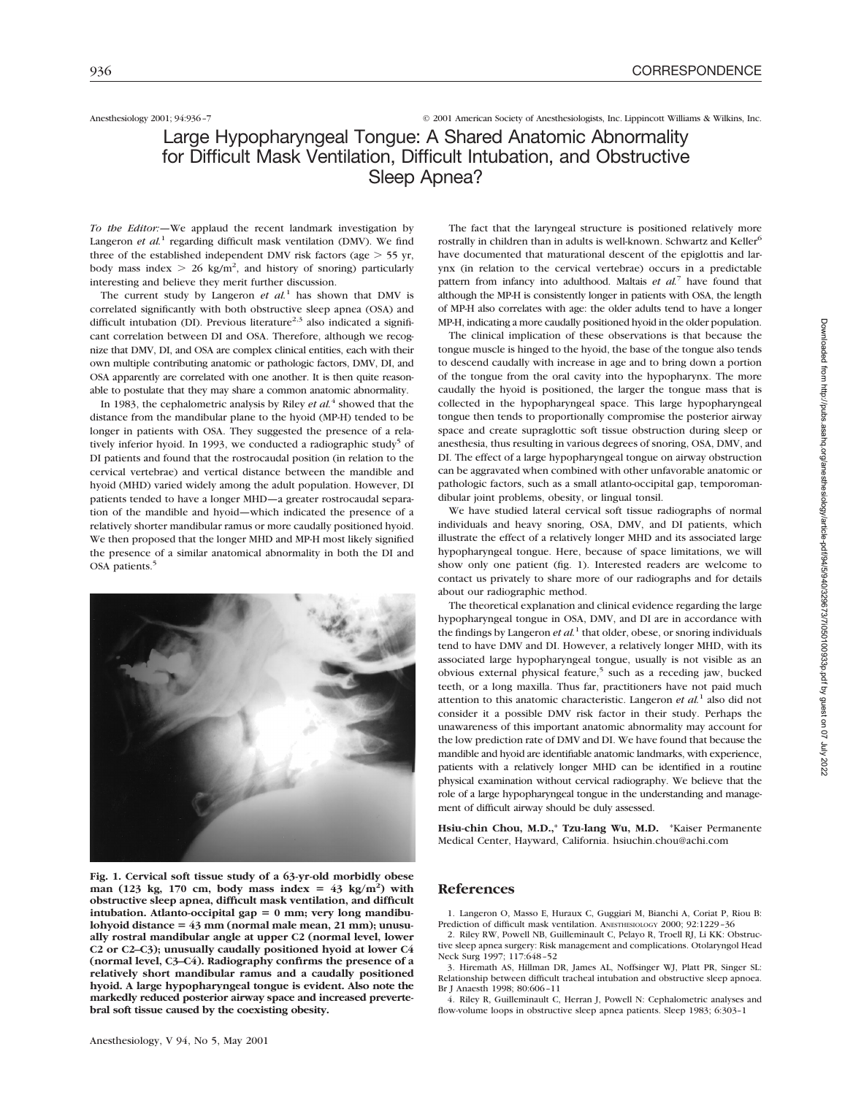### Anesthesiology 2001; 94:936–7 © 2001 American Society of Anesthesiologists, Inc. Lippincott Williams & Wilkins, Inc.

# Large Hypopharyngeal Tongue: A Shared Anatomic Abnormality for Difficult Mask Ventilation, Difficult Intubation, and Obstructive Sleep Apnea?

*To the Editor:—*We applaud the recent landmark investigation by Langeron *et al.*<sup>1</sup> regarding difficult mask ventilation (DMV). We find three of the established independent DMV risk factors (age  $>$  55 yr, body mass index  $> 26$  kg/m<sup>2</sup>, and history of snoring) particularly interesting and believe they merit further discussion.

The current study by Langeron *et al.*<sup>1</sup> has shown that DMV is correlated significantly with both obstructive sleep apnea (OSA) and difficult intubation (DI). Previous literature<sup>2,3</sup> also indicated a significant correlation between DI and OSA. Therefore, although we recognize that DMV, DI, and OSA are complex clinical entities, each with their own multiple contributing anatomic or pathologic factors, DMV, DI, and OSA apparently are correlated with one another. It is then quite reasonable to postulate that they may share a common anatomic abnormality.

In 1983, the cephalometric analysis by Riley *et al.*<sup>4</sup> showed that the distance from the mandibular plane to the hyoid (MP-H) tended to be longer in patients with OSA. They suggested the presence of a relatively inferior hyoid. In 1993, we conducted a radiographic study<sup>5</sup> of DI patients and found that the rostrocaudal position (in relation to the cervical vertebrae) and vertical distance between the mandible and hyoid (MHD) varied widely among the adult population. However, DI patients tended to have a longer MHD—a greater rostrocaudal separation of the mandible and hyoid—which indicated the presence of a relatively shorter mandibular ramus or more caudally positioned hyoid. We then proposed that the longer MHD and MP-H most likely signified the presence of a similar anatomical abnormality in both the DI and OSA patients.<sup>5</sup>



**Fig. 1. Cervical soft tissue study of a 63-yr-old morbidly obese** man (123 kg, 170 cm, body mass index =  $43 \text{ kg/m}^2$ ) with **obstructive sleep apnea, difficult mask ventilation, and difficult** intubation. Atlanto-occipital gap = 0 mm; very long mandibu- $\lambda$  lohyoid distance =  $43 \text{ mm}$  (normal male mean, 21 mm); unusu**ally rostral mandibular angle at upper C2 (normal level, lower C2 or C2–C3); unusually caudally positioned hyoid at lower C4 (normal level, C3–C4). Radiography confirms the presence of a relatively short mandibular ramus and a caudally positioned hyoid. A large hypopharyngeal tongue is evident. Also note the markedly reduced posterior airway space and increased prevertebral soft tissue caused by the coexisting obesity.**

The fact that the laryngeal structure is positioned relatively more rostrally in children than in adults is well-known. Schwartz and Keller<sup>6</sup> have documented that maturational descent of the epiglottis and larynx (in relation to the cervical vertebrae) occurs in a predictable pattern from infancy into adulthood. Maltais *et al.*<sup>7</sup> have found that although the MP-H is consistently longer in patients with OSA, the length of MP-H also correlates with age: the older adults tend to have a longer MP-H, indicating a more caudally positioned hyoid in the older population.

The clinical implication of these observations is that because the tongue muscle is hinged to the hyoid, the base of the tongue also tends to descend caudally with increase in age and to bring down a portion of the tongue from the oral cavity into the hypopharynx. The more caudally the hyoid is positioned, the larger the tongue mass that is collected in the hypopharyngeal space. This large hypopharyngeal tongue then tends to proportionally compromise the posterior airway space and create supraglottic soft tissue obstruction during sleep or anesthesia, thus resulting in various degrees of snoring, OSA, DMV, and DI. The effect of a large hypopharyngeal tongue on airway obstruction can be aggravated when combined with other unfavorable anatomic or pathologic factors, such as a small atlanto-occipital gap, temporomandibular joint problems, obesity, or lingual tonsil.

We have studied lateral cervical soft tissue radiographs of normal individuals and heavy snoring, OSA, DMV, and DI patients, which illustrate the effect of a relatively longer MHD and its associated large hypopharyngeal tongue. Here, because of space limitations, we will show only one patient (fig. 1). Interested readers are welcome to contact us privately to share more of our radiographs and for details about our radiographic method.

The theoretical explanation and clinical evidence regarding the large hypopharyngeal tongue in OSA, DMV, and DI are in accordance with the findings by Langeron *et*  $al<sup>1</sup>$  that older, obese, or snoring individuals tend to have DMV and DI. However, a relatively longer MHD, with its associated large hypopharyngeal tongue, usually is not visible as an obvious external physical feature,<sup>5</sup> such as a receding jaw, bucked teeth, or a long maxilla. Thus far, practitioners have not paid much attention to this anatomic characteristic. Langeron *et al.*<sup>1</sup> also did not consider it a possible DMV risk factor in their study. Perhaps the unawareness of this important anatomic abnormality may account for the low prediction rate of DMV and DI. We have found that because the mandible and hyoid are identifiable anatomic landmarks, with experience, patients with a relatively longer MHD can be identified in a routine physical examination without cervical radiography. We believe that the role of a large hypopharyngeal tongue in the understanding and management of difficult airway should be duly assessed.

**Hsiu-chin Chou, M.D.,**\* **Tzu-lang Wu, M.D.** \*Kaiser Permanente Medical Center, Hayward, California. hsiuchin.chou@achi.com

### **References**

1. Langeron O, Masso E, Huraux C, Guggiari M, Bianchi A, Coriat P, Riou B: Prediction of difficult mask ventilation. ANESTHESIOLOGY 2000: 92:1229-36

2. Riley RW, Powell NB, Guilleminault C, Pelayo R, Troell RJ, Li KK: Obstructive sleep apnea surgery: Risk management and complications. Otolaryngol Head Neck Surg 1997; 117:648–52

3. Hiremath AS, Hillman DR, James AL, Noffsinger WJ, Platt PR, Singer SL: Relationship between difficult tracheal intubation and obstructive sleep apnoea. Br J Anaesth 1998; 80:606–11

4. Riley R, Guilleminault C, Herran J, Powell N: Cephalometric analyses and flow-volume loops in obstructive sleep apnea patients. Sleep 1983; 6:303–1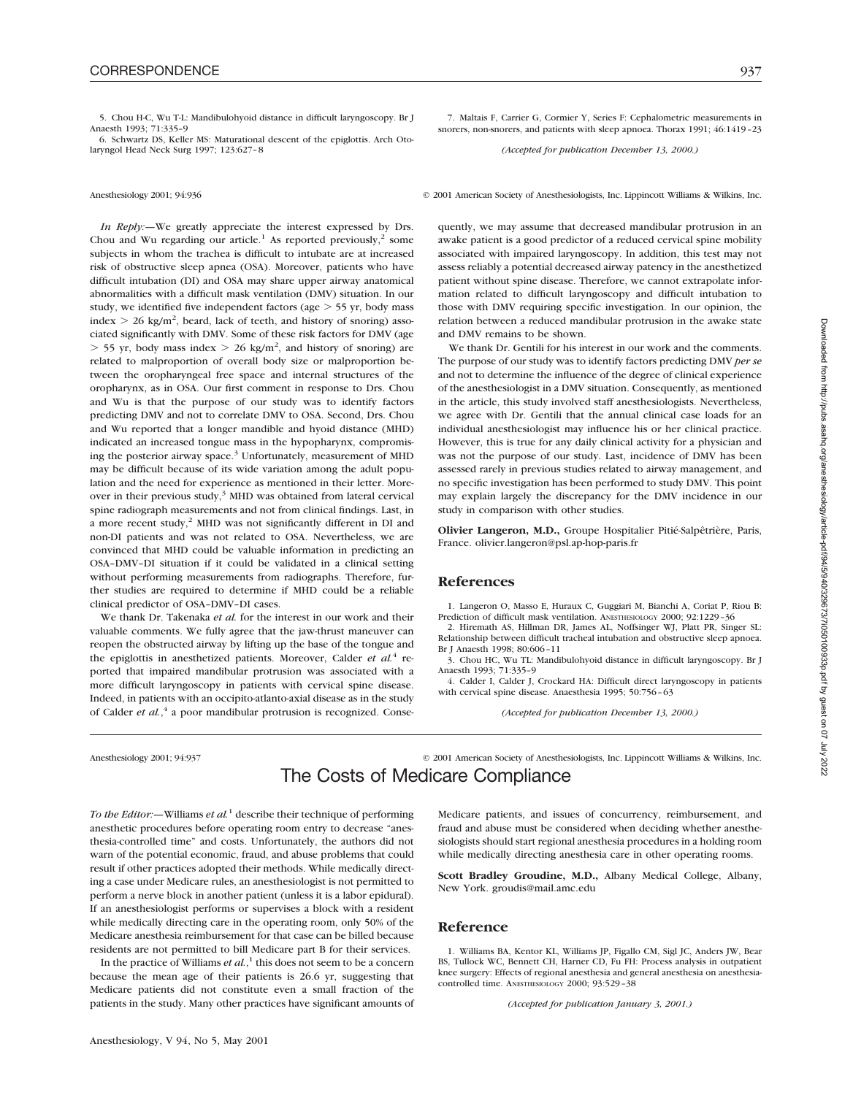6. Schwartz DS, Keller MS: Maturational descent of the epiglottis. Arch Otolaryngol Head Neck Surg 1997; 123:627–8

*In Reply:—*We greatly appreciate the interest expressed by Drs. Chou and Wu regarding our article.<sup>1</sup> As reported previously,<sup>2</sup> some subjects in whom the trachea is difficult to intubate are at increased risk of obstructive sleep apnea (OSA). Moreover, patients who have difficult intubation (DI) and OSA may share upper airway anatomical abnormalities with a difficult mask ventilation (DMV) situation. In our study, we identified five independent factors (age  $>$  55 yr, body mass index  $> 26$  kg/m<sup>2</sup>, beard, lack of teeth, and history of snoring) associated significantly with DMV. Some of these risk factors for DMV (age  $>$  55 yr, body mass index  $>$  26 kg/m<sup>2</sup>, and history of snoring) are related to malproportion of overall body size or malproportion between the oropharyngeal free space and internal structures of the oropharynx, as in OSA. Our first comment in response to Drs. Chou and Wu is that the purpose of our study was to identify factors predicting DMV and not to correlate DMV to OSA. Second, Drs. Chou and Wu reported that a longer mandible and hyoid distance (MHD) indicated an increased tongue mass in the hypopharynx, compromising the posterior airway space.<sup>3</sup> Unfortunately, measurement of MHD may be difficult because of its wide variation among the adult population and the need for experience as mentioned in their letter. Moreover in their previous study, $3$  MHD was obtained from lateral cervical spine radiograph measurements and not from clinical findings. Last, in a more recent study,<sup>2</sup> MHD was not significantly different in DI and non-DI patients and was not related to OSA. Nevertheless, we are convinced that MHD could be valuable information in predicting an OSA–DMV–DI situation if it could be validated in a clinical setting without performing measurements from radiographs. Therefore, further studies are required to determine if MHD could be a reliable clinical predictor of OSA–DMV–DI cases.

We thank Dr. Takenaka *et al.* for the interest in our work and their valuable comments. We fully agree that the jaw-thrust maneuver can reopen the obstructed airway by lifting up the base of the tongue and the epiglottis in anesthetized patients. Moreover, Calder *et al.*<sup>4</sup> reported that impaired mandibular protrusion was associated with a more difficult laryngoscopy in patients with cervical spine disease. Indeed, in patients with an occipito-atlanto-axial disease as in the study of Calder *et al.*, <sup>4</sup> a poor mandibular protrusion is recognized. Conse-

7. Maltais F, Carrier G, Cormier Y, Series F: Cephalometric measurements in snorers, non-snorers, and patients with sleep apnoea. Thorax 1991; 46:1419–23

*(Accepted for publication December 13, 2000.)*

Anesthesiology 2001; 94:936 © 2001 American Society of Anesthesiologists, Inc. Lippincott Williams & Wilkins, Inc.

quently, we may assume that decreased mandibular protrusion in an awake patient is a good predictor of a reduced cervical spine mobility associated with impaired laryngoscopy. In addition, this test may not assess reliably a potential decreased airway patency in the anesthetized patient without spine disease. Therefore, we cannot extrapolate information related to difficult laryngoscopy and difficult intubation to those with DMV requiring specific investigation. In our opinion, the relation between a reduced mandibular protrusion in the awake state and DMV remains to be shown.

We thank Dr. Gentili for his interest in our work and the comments. The purpose of our study was to identify factors predicting DMV *per se* and not to determine the influence of the degree of clinical experience of the anesthesiologist in a DMV situation. Consequently, as mentioned in the article, this study involved staff anesthesiologists. Nevertheless, we agree with Dr. Gentili that the annual clinical case loads for an individual anesthesiologist may influence his or her clinical practice. However, this is true for any daily clinical activity for a physician and was not the purpose of our study. Last, incidence of DMV has been assessed rarely in previous studies related to airway management, and no specific investigation has been performed to study DMV. This point may explain largely the discrepancy for the DMV incidence in our study in comparison with other studies.

**Olivier Langeron, M.D.,** Groupe Hospitalier Pitié-Salpêtrière, Paris, France. olivier.langeron@psl.ap-hop-paris.fr

#### **References**

1. Langeron O, Masso E, Huraux C, Guggiari M, Bianchi A, Coriat P, Riou B: Prediction of difficult mask ventilation. ANESTHESIOLOGY 2000; 92:1229–36

2. Hiremath AS, Hillman DR, James AL, Noffsinger WJ, Platt PR, Singer SL: Relationship between difficult tracheal intubation and obstructive sleep apnoea. Br J Anaesth 1998; 80:606–11

3. Chou HC, Wu TL: Mandibulohyoid distance in difficult laryngoscopy. Br J Anaesth 1993; 71:335–9

4. Calder I, Calder J, Crockard HA: Difficult direct laryngoscopy in patients with cervical spine disease. Anaesthesia 1995; 50:756–63

*(Accepted for publication December 13, 2000.)*

Anesthesiology 2001; 94:937 © 2001 American Society of Anesthesiologists, Inc. Lippincott Williams & Wilkins, Inc.

# The Costs of Medicare Compliance

*To the Editor:—*Williams *et al.*<sup>1</sup> describe their technique of performing anesthetic procedures before operating room entry to decrease "anesthesia-controlled time" and costs. Unfortunately, the authors did not warn of the potential economic, fraud, and abuse problems that could result if other practices adopted their methods. While medically directing a case under Medicare rules, an anesthesiologist is not permitted to perform a nerve block in another patient (unless it is a labor epidural). If an anesthesiologist performs or supervises a block with a resident while medically directing care in the operating room, only 50% of the Medicare anesthesia reimbursement for that case can be billed because residents are not permitted to bill Medicare part B for their services.

In the practice of Williams *et al.*, <sup>1</sup> this does not seem to be a concern because the mean age of their patients is 26.6 yr, suggesting that Medicare patients did not constitute even a small fraction of the patients in the study. Many other practices have significant amounts of Medicare patients, and issues of concurrency, reimbursement, and fraud and abuse must be considered when deciding whether anesthesiologists should start regional anesthesia procedures in a holding room while medically directing anesthesia care in other operating rooms.

**Scott Bradley Groudine, M.D.,** Albany Medical College, Albany, New York. groudis@mail.amc.edu

### **Reference**

1. Williams BA, Kentor KL, Williams JP, Figallo CM, Sigl JC, Anders JW, Bear BS, Tullock WC, Bennett CH, Harner CD, Fu FH: Process analysis in outpatient knee surgery: Effects of regional anesthesia and general anesthesia on anesthesiacontrolled time. ANESTHESIOLOGY 2000; 93:529–38

*(Accepted for publication January 3, 2001.)*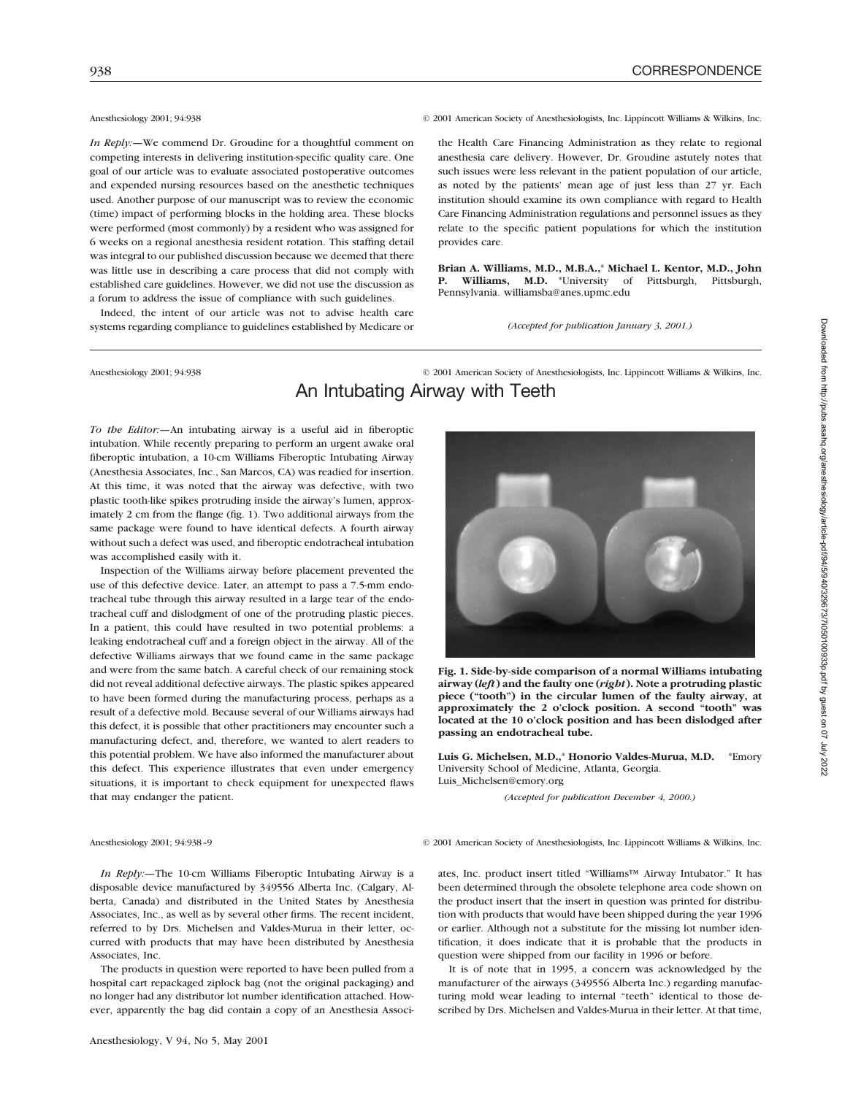*In Reply:*—We commend Dr. Groudine for a thoughtful comment on competing interests in delivering institution-specific quality care. One goal of our article was to evaluate associated postoperative outcomes and expended nursing resources based on the anesthetic techniques used. Another purpose of our manuscript was to review the economic (time) impact of performing blocks in the holding area. These blocks were performed (most commonly) by a resident who was assigned for 6 weeks on a regional anesthesia resident rotation. This staffing detail was integral to our published discussion because we deemed that there was little use in describing a care process that did not comply with established care guidelines. However, we did not use the discussion as a forum to address the issue of compliance with such guidelines.

Indeed, the intent of our article was not to advise health care systems regarding compliance to guidelines established by Medicare or

Anesthesiology 2001; 94:938 © 2001 American Society of Anesthesiologists, Inc. Lippincott Williams & Wilkins, Inc.

the Health Care Financing Administration as they relate to regional anesthesia care delivery. However, Dr. Groudine astutely notes that such issues were less relevant in the patient population of our article, as noted by the patients' mean age of just less than 27 yr. Each institution should examine its own compliance with regard to Health Care Financing Administration regulations and personnel issues as they relate to the specific patient populations for which the institution provides care.

**Brian A. Williams, M.D., M.B.A.,**\* **Michael L. Kentor, M.D., John P. Williams, M.D.** \*University of Pittsburgh, Pittsburgh, Pennsylvania. williamsba@anes.upmc.edu

*(Accepted for publication January 3, 2001.)*

### Anesthesiology 2001; 94:938 © 2001 American Society of Anesthesiologists, Inc. Lippincott Williams & Wilkins, Inc.

# An Intubating Airway with Teeth

*To the Editor:—*An intubating airway is a useful aid in fiberoptic intubation. While recently preparing to perform an urgent awake oral fiberoptic intubation, a 10-cm Williams Fiberoptic Intubating Airway (Anesthesia Associates, Inc., San Marcos, CA) was readied for insertion. At this time, it was noted that the airway was defective, with two plastic tooth-like spikes protruding inside the airway's lumen, approximately 2 cm from the flange (fig. 1). Two additional airways from the same package were found to have identical defects. A fourth airway without such a defect was used, and fiberoptic endotracheal intubation was accomplished easily with it.

Inspection of the Williams airway before placement prevented the use of this defective device. Later, an attempt to pass a 7.5-mm endotracheal tube through this airway resulted in a large tear of the endotracheal cuff and dislodgment of one of the protruding plastic pieces. In a patient, this could have resulted in two potential problems: a leaking endotracheal cuff and a foreign object in the airway. All of the defective Williams airways that we found came in the same package and were from the same batch. A careful check of our remaining stock did not reveal additional defective airways. The plastic spikes appeared to have been formed during the manufacturing process, perhaps as a result of a defective mold. Because several of our Williams airways had this defect, it is possible that other practitioners may encounter such a manufacturing defect, and, therefore, we wanted to alert readers to this potential problem. We have also informed the manufacturer about this defect. This experience illustrates that even under emergency situations, it is important to check equipment for unexpected flaws that may endanger the patient.



**Fig. 1. Side-by-side comparison of a normal Williams intubating airway (***left***) and the faulty one (***right***). Note a protruding plastic piece ("tooth") in the circular lumen of the faulty airway, at approximately the 2 o'clock position. A second "tooth" was located at the 10 o'clock position and has been dislodged after passing an endotracheal tube.**

**Luis G. Michelsen, M.D.,**\* **Honorio Valdes-Murua, M.D.** \*Emory University School of Medicine, Atlanta, Georgia. Luis\_Michelsen@emory.org

*(Accepted for publication December 4, 2000.)*

Anesthesiology 2001; 94:938–9 © 2001 American Society of Anesthesiologists, Inc. Lippincott Williams & Wilkins, Inc.

*In Reply:—*The 10-cm Williams Fiberoptic Intubating Airway is a disposable device manufactured by 349556 Alberta Inc. (Calgary, Alberta, Canada) and distributed in the United States by Anesthesia Associates, Inc., as well as by several other firms. The recent incident, referred to by Drs. Michelsen and Valdes-Murua in their letter, occurred with products that may have been distributed by Anesthesia Associates, Inc.

The products in question were reported to have been pulled from a hospital cart repackaged ziplock bag (not the original packaging) and no longer had any distributor lot number identification attached. However, apparently the bag did contain a copy of an Anesthesia Associ-

ates, Inc. product insert titled "Williams™ Airway Intubator." It has been determined through the obsolete telephone area code shown on the product insert that the insert in question was printed for distribution with products that would have been shipped during the year 1996 or earlier. Although not a substitute for the missing lot number identification, it does indicate that it is probable that the products in question were shipped from our facility in 1996 or before.

It is of note that in 1995, a concern was acknowledged by the manufacturer of the airways (349556 Alberta Inc.) regarding manufacturing mold wear leading to internal "teeth" identical to those described by Drs. Michelsen and Valdes-Murua in their letter. At that time,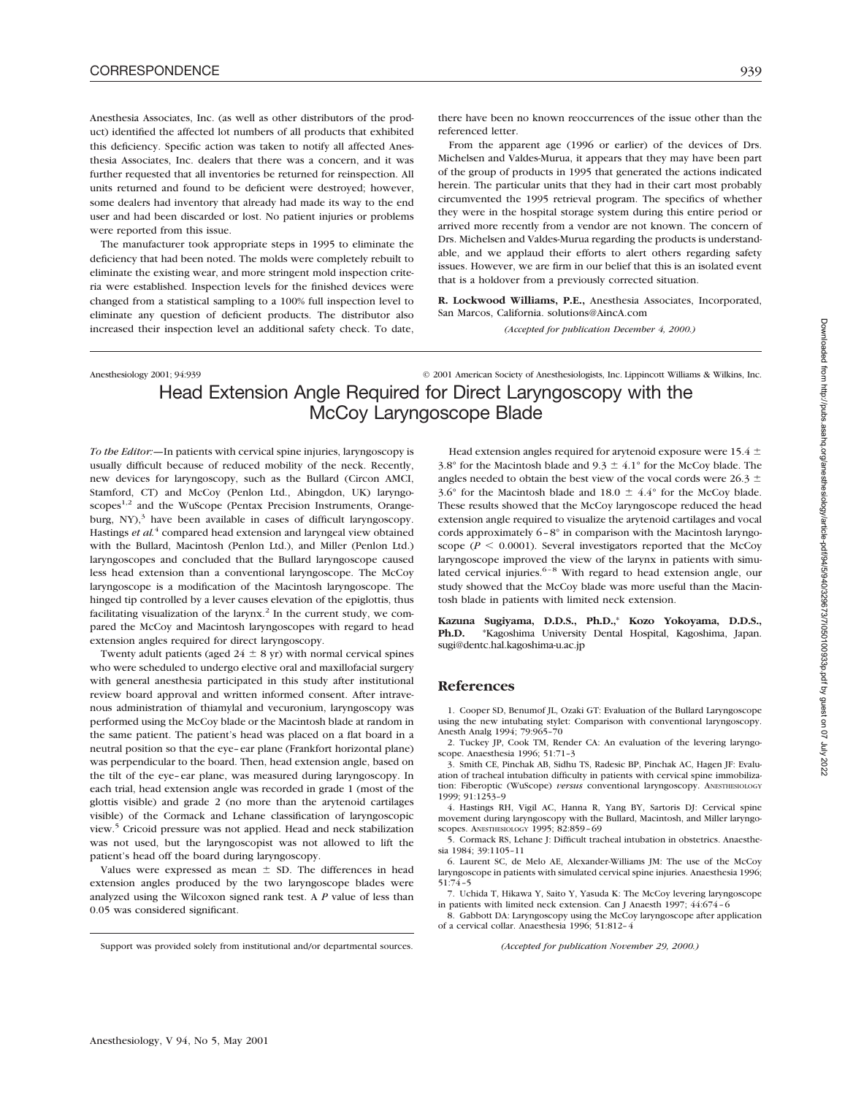Anesthesia Associates, Inc. (as well as other distributors of the product) identified the affected lot numbers of all products that exhibited this deficiency. Specific action was taken to notify all affected Anesthesia Associates, Inc. dealers that there was a concern, and it was further requested that all inventories be returned for reinspection. All units returned and found to be deficient were destroyed; however, some dealers had inventory that already had made its way to the end user and had been discarded or lost. No patient injuries or problems were reported from this issue.

The manufacturer took appropriate steps in 1995 to eliminate the deficiency that had been noted. The molds were completely rebuilt to eliminate the existing wear, and more stringent mold inspection criteria were established. Inspection levels for the finished devices were changed from a statistical sampling to a 100% full inspection level to eliminate any question of deficient products. The distributor also increased their inspection level an additional safety check. To date, there have been no known reoccurrences of the issue other than the referenced letter.

From the apparent age (1996 or earlier) of the devices of Drs. Michelsen and Valdes-Murua, it appears that they may have been part of the group of products in 1995 that generated the actions indicated herein. The particular units that they had in their cart most probably circumvented the 1995 retrieval program. The specifics of whether they were in the hospital storage system during this entire period or arrived more recently from a vendor are not known. The concern of Drs. Michelsen and Valdes-Murua regarding the products is understandable, and we applaud their efforts to alert others regarding safety issues. However, we are firm in our belief that this is an isolated event that is a holdover from a previously corrected situation.

**R. Lockwood Williams, P.E.,** Anesthesia Associates, Incorporated, San Marcos, California. solutions@AincA.com

*(Accepted for publication December 4, 2000.)*

Anesthesiology 2001; 94:939 © 2001 American Society of Anesthesiologists, Inc. Lippincott Williams & Wilkins, Inc.

# Head Extension Angle Required for Direct Laryngoscopy with the McCoy Laryngoscope Blade

*To the Editor:—*In patients with cervical spine injuries, laryngoscopy is usually difficult because of reduced mobility of the neck. Recently, new devices for laryngoscopy, such as the Bullard (Circon AMCI, Stamford, CT) and McCoy (Penlon Ltd., Abingdon, UK) laryngoscopes<sup>1,2</sup> and the WuScope (Pentax Precision Instruments, Orangeburg,  $NY$ ),<sup>3</sup> have been available in cases of difficult laryngoscopy. Hastings *et al.*<sup>4</sup> compared head extension and laryngeal view obtained with the Bullard, Macintosh (Penlon Ltd.), and Miller (Penlon Ltd.) laryngoscopes and concluded that the Bullard laryngoscope caused less head extension than a conventional laryngoscope. The McCoy laryngoscope is a modification of the Macintosh laryngoscope. The hinged tip controlled by a lever causes elevation of the epiglottis, thus facilitating visualization of the larynx.<sup>2</sup> In the current study, we compared the McCoy and Macintosh laryngoscopes with regard to head extension angles required for direct laryngoscopy.

Twenty adult patients (aged  $24 \pm 8$  yr) with normal cervical spines who were scheduled to undergo elective oral and maxillofacial surgery with general anesthesia participated in this study after institutional review board approval and written informed consent. After intravenous administration of thiamylal and vecuronium, laryngoscopy was performed using the McCoy blade or the Macintosh blade at random in the same patient. The patient's head was placed on a flat board in a neutral position so that the eye–ear plane (Frankfort horizontal plane) was perpendicular to the board. Then, head extension angle, based on the tilt of the eye–ear plane, was measured during laryngoscopy. In each trial, head extension angle was recorded in grade 1 (most of the glottis visible) and grade 2 (no more than the arytenoid cartilages visible) of the Cormack and Lehane classification of laryngoscopic view.<sup>5</sup> Cricoid pressure was not applied. Head and neck stabilization was not used, but the laryngoscopist was not allowed to lift the patient's head off the board during laryngoscopy.

Values were expressed as mean  $\pm$  SD. The differences in head extension angles produced by the two laryngoscope blades were analyzed using the Wilcoxon signed rank test. A *P* value of less than 0.05 was considered significant.

Head extension angles required for arytenoid exposure were 15.4  $\pm$ 3.8° for the Macintosh blade and 9.3  $\pm$  4.1° for the McCoy blade. The angles needed to obtain the best view of the vocal cords were 26.3  $\pm$ 3.6° for the Macintosh blade and 18.0  $\pm$  4.4° for the McCoy blade. These results showed that the McCoy laryngoscope reduced the head extension angle required to visualize the arytenoid cartilages and vocal cords approximately 6–8° in comparison with the Macintosh laryngoscope ( $P \le 0.0001$ ). Several investigators reported that the McCoy laryngoscope improved the view of the larynx in patients with simulated cervical injuries. $6-8$  With regard to head extension angle, our study showed that the McCoy blade was more useful than the Macintosh blade in patients with limited neck extension.

**Kazuna Sugiyama, D.D.S., Ph.D.,**\* **Kozo Yokoyama, D.D.S., Ph.D.** \*Kagoshima University Dental Hospital, Kagoshima, Japan. sugi@dentc.hal.kagoshima-u.ac.jp

#### **References**

1. Cooper SD, Benumof JL, Ozaki GT: Evaluation of the Bullard Laryngoscope using the new intubating stylet: Comparison with conventional laryngoscopy. Anesth Analg 1994; 79:965–70

2. Tuckey JP, Cook TM, Render CA: An evaluation of the levering laryngoscope. Anaesthesia 1996; 51:71–3

3. Smith CE, Pinchak AB, Sidhu TS, Radesic BP, Pinchak AC, Hagen JF: Evaluation of tracheal intubation difficulty in patients with cervical spine immobilization: Fiberoptic (WuScope) *versus* conventional laryngoscopy. ANESTHESIOLOGY 1999; 91:1253–9

4. Hastings RH, Vigil AC, Hanna R, Yang BY, Sartoris DJ: Cervical spine movement during laryngoscopy with the Bullard, Macintosh, and Miller laryngoscopes. ANESTHESIOLOGY 1995; 82:859–69

5. Cormack RS, Lehane J: Difficult tracheal intubation in obstetrics. Anaesthesia 1984; 39:1105–11

6. Laurent SC, de Melo AE, Alexander-Williams JM: The use of the McCoy laryngoscope in patients with simulated cervical spine injuries. Anaesthesia 1996; 51:74–5

7. Uchida T, Hikawa Y, Saito Y, Yasuda K: The McCoy levering laryngoscope in patients with limited neck extension. Can J Anaesth 1997; 44:674–6

8. Gabbott DA: Laryngoscopy using the McCoy laryngoscope after application of a cervical collar. Anaesthesia 1996; 51:812–4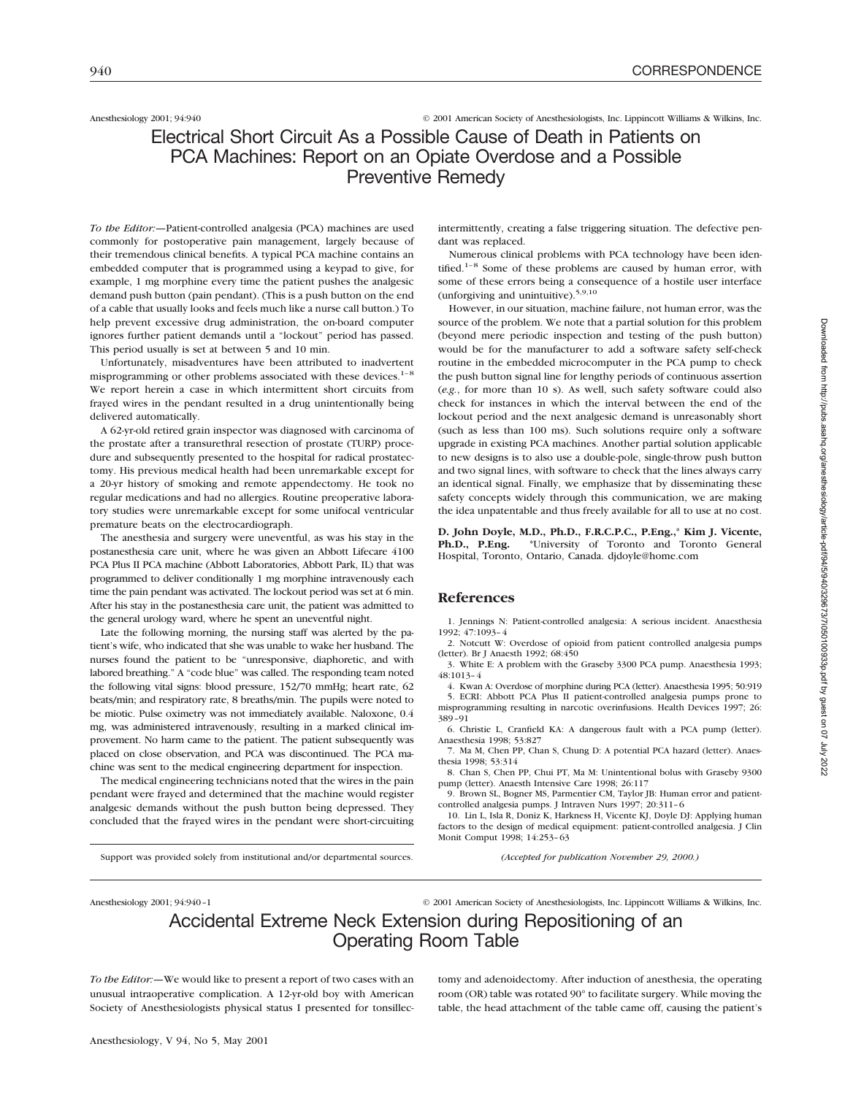Anesthesiology 2001; 94:940 © 2001 American Society of Anesthesiologists, Inc. Lippincott Williams & Wilkins, Inc.

# Electrical Short Circuit As a Possible Cause of Death in Patients on PCA Machines: Report on an Opiate Overdose and a Possible Preventive Remedy

*To the Editor:—*Patient-controlled analgesia (PCA) machines are used commonly for postoperative pain management, largely because of their tremendous clinical benefits. A typical PCA machine contains an embedded computer that is programmed using a keypad to give, for example, 1 mg morphine every time the patient pushes the analgesic demand push button (pain pendant). (This is a push button on the end of a cable that usually looks and feels much like a nurse call button.) To help prevent excessive drug administration, the on-board computer ignores further patient demands until a "lockout" period has passed. This period usually is set at between 5 and 10 min.

Unfortunately, misadventures have been attributed to inadvertent misprogramming or other problems associated with these devices.<sup>1-8</sup> We report herein a case in which intermittent short circuits from frayed wires in the pendant resulted in a drug unintentionally being delivered automatically.

A 62-yr-old retired grain inspector was diagnosed with carcinoma of the prostate after a transurethral resection of prostate (TURP) procedure and subsequently presented to the hospital for radical prostatectomy. His previous medical health had been unremarkable except for a 20-yr history of smoking and remote appendectomy. He took no regular medications and had no allergies. Routine preoperative laboratory studies were unremarkable except for some unifocal ventricular premature beats on the electrocardiograph.

The anesthesia and surgery were uneventful, as was his stay in the postanesthesia care unit, where he was given an Abbott Lifecare 4100 PCA Plus II PCA machine (Abbott Laboratories, Abbott Park, IL) that was programmed to deliver conditionally 1 mg morphine intravenously each time the pain pendant was activated. The lockout period was set at 6 min. After his stay in the postanesthesia care unit, the patient was admitted to the general urology ward, where he spent an uneventful night.

Late the following morning, the nursing staff was alerted by the patient's wife, who indicated that she was unable to wake her husband. The nurses found the patient to be "unresponsive, diaphoretic, and with labored breathing." A "code blue" was called. The responding team noted the following vital signs: blood pressure, 152/70 mmHg; heart rate, 62 beats/min; and respiratory rate, 8 breaths/min. The pupils were noted to be miotic. Pulse oximetry was not immediately available. Naloxone, 0.4 mg, was administered intravenously, resulting in a marked clinical improvement. No harm came to the patient. The patient subsequently was placed on close observation, and PCA was discontinued. The PCA machine was sent to the medical engineering department for inspection.

The medical engineering technicians noted that the wires in the pain pendant were frayed and determined that the machine would register analgesic demands without the push button being depressed. They concluded that the frayed wires in the pendant were short-circuiting

Support was provided solely from institutional and/or departmental sources.

intermittently, creating a false triggering situation. The defective pendant was replaced.

Numerous clinical problems with PCA technology have been identified.<sup>1-8</sup> Some of these problems are caused by human error, with some of these errors being a consequence of a hostile user interface (unforgiving and unintuitive).5,9,10

However, in our situation, machine failure, not human error, was the source of the problem. We note that a partial solution for this problem (beyond mere periodic inspection and testing of the push button) would be for the manufacturer to add a software safety self-check routine in the embedded microcomputer in the PCA pump to check the push button signal line for lengthy periods of continuous assertion (*e.g.*, for more than 10 s). As well, such safety software could also check for instances in which the interval between the end of the lockout period and the next analgesic demand is unreasonably short (such as less than 100 ms). Such solutions require only a software upgrade in existing PCA machines. Another partial solution applicable to new designs is to also use a double-pole, single-throw push button and two signal lines, with software to check that the lines always carry an identical signal. Finally, we emphasize that by disseminating these safety concepts widely through this communication, we are making the idea unpatentable and thus freely available for all to use at no cost.

**D. John Doyle, M.D., Ph.D., F.R.C.P.C., P.Eng.,**\* **Kim J. Vicente, Ph.D., P.Eng.** \*University of Toronto and Toronto General Hospital, Toronto, Ontario, Canada. djdoyle@home.com

### **References**

1. Jennings N: Patient-controlled analgesia: A serious incident. Anaesthesia 1992; 47:1093–4

2. Notcutt W: Overdose of opioid from patient controlled analgesia pumps (letter). Br J Anaesth 1992; 68:450

3. White E: A problem with the Graseby 3300 PCA pump. Anaesthesia 1993; 48:1013–4

4. Kwan A: Overdose of morphine during PCA (letter). Anaesthesia 1995; 50:919 5. ECRI: Abbott PCA Plus II patient-controlled analgesia pumps prone to misprogramming resulting in narcotic overinfusions. Health Devices 1997; 26: 389–91

6. Christie L, Cranfield KA: A dangerous fault with a PCA pump (letter). Anaesthesia 1998; 53:827

7. Ma M, Chen PP, Chan S, Chung D: A potential PCA hazard (letter). Anaesthesia 1998; 53:314

8. Chan S, Chen PP, Chui PT, Ma M: Unintentional bolus with Graseby 9300 pump (letter). Anaesth Intensive Care 1998; 26:117

9. Brown SL, Bogner MS, Parmentier CM, Taylor JB: Human error and patientcontrolled analgesia pumps. J Intraven Nurs 1997; 20:311–6

10. Lin L, Isla R, Doniz K, Harkness H, Vicente KJ, Doyle DJ: Applying human factors to the design of medical equipment: patient-controlled analgesia. J Clin Monit Comput 1998; 14:253–63

*(Accepted for publication November 29, 2000.)*

Anesthesiology 2001; 94:940-1 © 2001 American Society of Anesthesiologists, Inc. Lippincott Williams & Wilkins, Inc.

# Accidental Extreme Neck Extension during Repositioning of an Operating Room Table

*To the Editor:—*We would like to present a report of two cases with an unusual intraoperative complication. A 12-yr-old boy with American Society of Anesthesiologists physical status I presented for tonsillectomy and adenoidectomy. After induction of anesthesia, the operating room (OR) table was rotated 90° to facilitate surgery. While moving the table, the head attachment of the table came off, causing the patient's